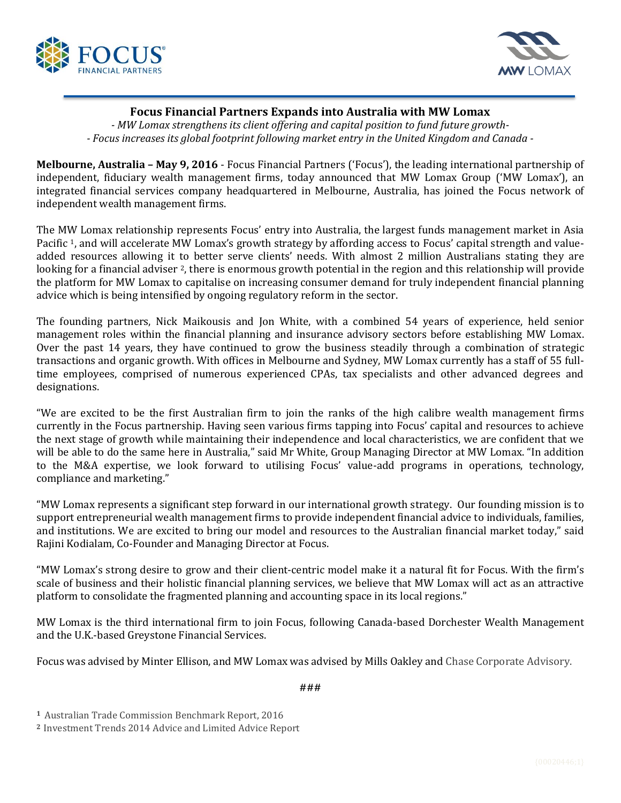



## **Focus Financial Partners Expands into Australia with MW Lomax**

*- MW Lomax strengthens its client offering and capital position to fund future growth- - Focus increases its global footprint following market entry in the United Kingdom and Canada -*

**Melbourne, Australia – May 9, 2016** - Focus Financial Partners ('Focus'), the leading international partnership of independent, fiduciary wealth management firms, today announced that MW Lomax Group ('MW Lomax'), an integrated financial services company headquartered in Melbourne, Australia, has joined the Focus network of independent wealth management firms.

The MW Lomax relationship represents Focus' entry into Australia, the largest funds management market in Asia Pacific <sup>1</sup>, and will accelerate MW Lomax's growth strategy by affording access to Focus' capital strength and valueadded resources allowing it to better serve clients' needs. With almost 2 million Australians stating they are looking for a financial adviser <sup>2</sup>, there is enormous growth potential in the region and this relationship will provide the platform for MW Lomax to capitalise on increasing consumer demand for truly independent financial planning advice which is being intensified by ongoing regulatory reform in the sector.

The founding partners, Nick Maikousis and Jon White, with a combined 54 years of experience, held senior management roles within the financial planning and insurance advisory sectors before establishing MW Lomax. Over the past 14 years, they have continued to grow the business steadily through a combination of strategic transactions and organic growth. With offices in Melbourne and Sydney, MW Lomax currently has a staff of 55 fulltime employees, comprised of numerous experienced CPAs, tax specialists and other advanced degrees and designations.

"We are excited to be the first Australian firm to join the ranks of the high calibre wealth management firms currently in the Focus partnership. Having seen various firms tapping into Focus' capital and resources to achieve the next stage of growth while maintaining their independence and local characteristics, we are confident that we will be able to do the same here in Australia," said Mr White, Group Managing Director at MW Lomax. "In addition to the M&A expertise, we look forward to utilising Focus' value-add programs in operations, technology, compliance and marketing."

"MW Lomax represents a significant step forward in our international growth strategy. Our founding mission is to support entrepreneurial wealth management firms to provide independent financial advice to individuals, families, and institutions. We are excited to bring our model and resources to the Australian financial market today," said Rajini Kodialam, Co-Founder and Managing Director at Focus.

"MW Lomax's strong desire to grow and their client-centric model make it a natural fit for Focus. With the firm's scale of business and their holistic financial planning services, we believe that MW Lomax will act as an attractive platform to consolidate the fragmented planning and accounting space in its local regions."

MW Lomax is the third international firm to join Focus, following Canada-based Dorchester Wealth Management and the U.K.-based Greystone Financial Services.

Focus was advised by Minter Ellison, and MW Lomax was advised by Mills Oakley and Chase Corporate Advisory.

###

**<sup>1</sup>** Australian Trade Commission Benchmark Report, 2016

**<sup>2</sup>** Investment Trends 2014 Advice and Limited Advice Report